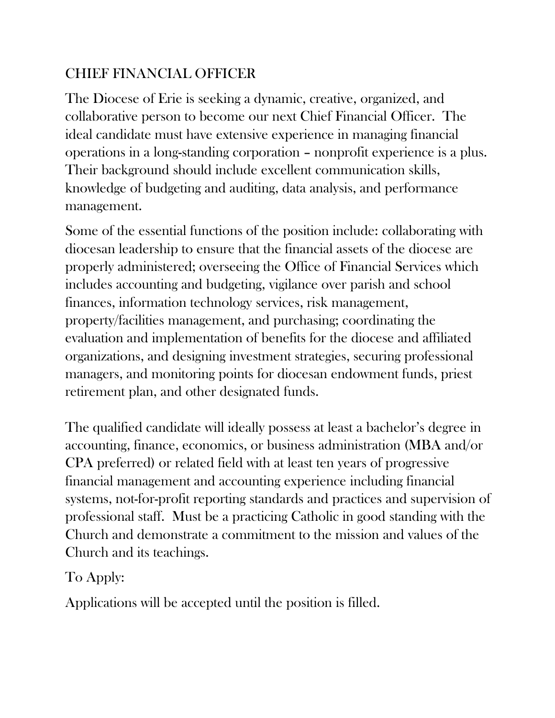## CHIEF FINANCIAL OFFICER

The Diocese of Erie is seeking a dynamic, creative, organized, and collaborative person to become our next Chief Financial Officer. The ideal candidate must have extensive experience in managing financial operations in a long-standing corporation – nonprofit experience is a plus. Their background should include excellent communication skills, knowledge of budgeting and auditing, data analysis, and performance management.

Some of the essential functions of the position include: collaborating with diocesan leadership to ensure that the financial assets of the diocese are properly administered; overseeing the Office of Financial Services which includes accounting and budgeting, vigilance over parish and school finances, information technology services, risk management, property/facilities management, and purchasing; coordinating the evaluation and implementation of benefits for the diocese and affiliated organizations, and designing investment strategies, securing professional managers, and monitoring points for diocesan endowment funds, priest retirement plan, and other designated funds.

The qualified candidate will ideally possess at least a bachelor's degree in accounting, finance, economics, or business administration (MBA and/or CPA preferred) or related field with at least ten years of progressive financial management and accounting experience including financial systems, not-for-profit reporting standards and practices and supervision of professional staff. Must be a practicing Catholic in good standing with the Church and demonstrate a commitment to the mission and values of the Church and its teachings.

## To Apply:

Applications will be accepted until the position is filled.